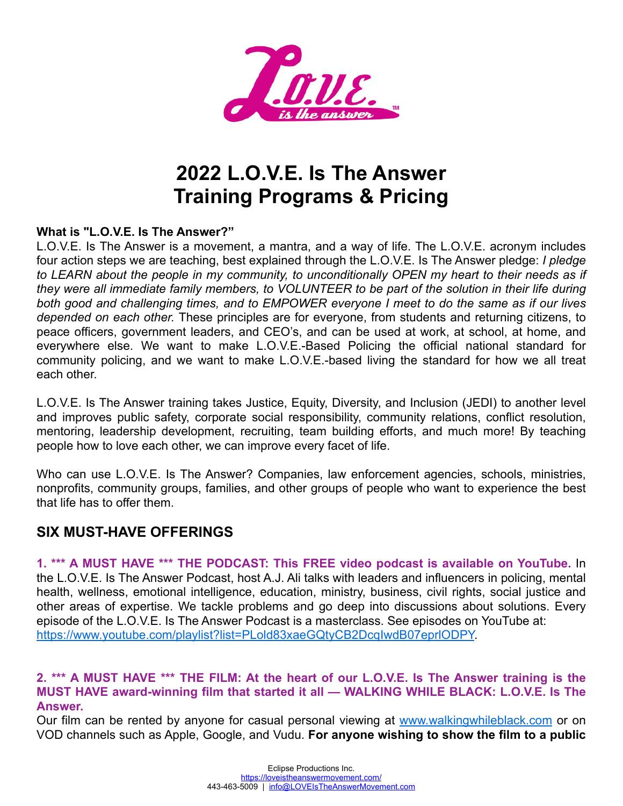

# **2022 L.O.V.E. Is The Answer Training Programs & Pricing**

#### **What is "L.O.V.E. Is The Answer?"**

L.O.V.E. Is The Answer is a movement, a mantra, and a way of life. The L.O.V.E. acronym includes four action steps we are teaching, best explained through the L.O.V.E. Is The Answer pledge: *I pledge to LEARN about the people in my community, to unconditionally OPEN my heart to their needs as if they were all immediate family members, to VOLUNTEER to be part of the solution in their life during both good and challenging times, and to EMPOWER everyone I meet to do the same as if our lives depended on each other.* These principles are for everyone, from students and returning citizens, to peace officers, government leaders, and CEO's, and can be used at work, at school, at home, and everywhere else. We want to make L.O.V.E.-Based Policing the official national standard for community policing, and we want to make L.O.V.E.-based living the standard for how we all treat each other.

L.O.V.E. Is The Answer training takes Justice, Equity, Diversity, and Inclusion (JEDI) to another level and improves public safety, corporate social responsibility, community relations, conflict resolution, mentoring, leadership development, recruiting, team building efforts, and much more! By teaching people how to love each other, we can improve every facet of life.

Who can use L.O.V.E. Is The Answer? Companies, law enforcement agencies, schools, ministries, nonprofits, community groups, families, and other groups of people who want to experience the best that life has to offer them.

# **SIX MUST-HAVE OFFERINGS**

**1. \*\*\* A MUST HAVE \*\*\* THE PODCAST: This FREE video podcast is available on YouTube.** In the L.O.V.E. Is The Answer Podcast, host A.J. Ali talks with leaders and influencers in policing, mental health, wellness, emotional intelligence, education, ministry, business, civil rights, social justice and other areas of expertise. We tackle problems and go deep into discussions about solutions. Every episode of the L.O.V.E. Is The Answer Podcast is a masterclass. See episodes on YouTube at: [https://www.youtube.com/playlist?list=PLold83xaeGQtyCB2DcqIwdB07eprlODPY.](https://www.youtube.com/playlist?list=PLold83xaeGQtyCB2DcqIwdB07eprlODPY)

#### **2. \*\*\* A MUST HAVE \*\*\* THE FILM: At the heart of our L.O.V.E. Is The Answer training is the MUST HAVE award-winning film that started it all — WALKING WHILE BLACK: L.O.V.E. Is The Answer.**

Our film can be rented by anyone for casual personal viewing at [www.walkingwhileblack.com](http://www.walkingwhileblack.com/) or on VOD channels such as Apple, Google, and Vudu. **For anyone wishing to show the film to a public**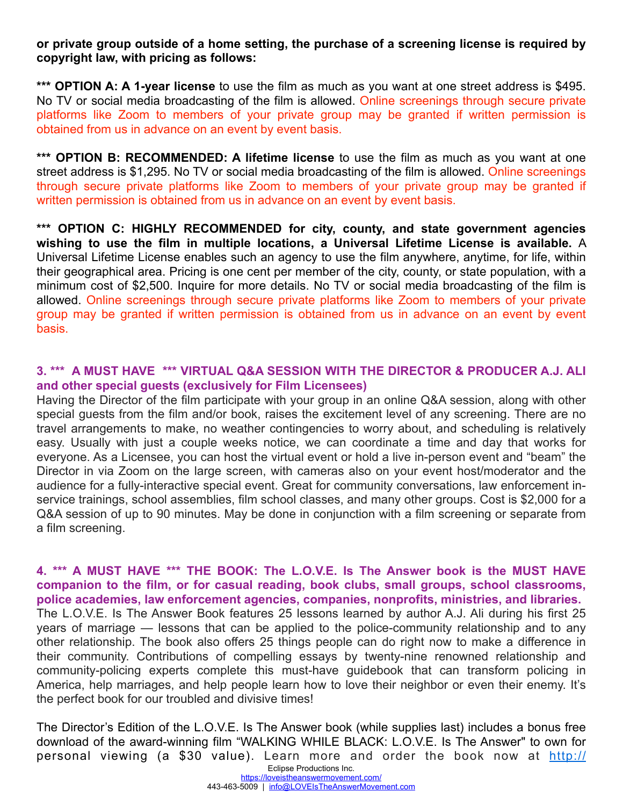#### **or private group outside of a home setting, the purchase of a screening license is required by copyright law, with pricing as follows:**

**\*\*\* OPTION A: A 1-year license** to use the film as much as you want at one street address is \$495. No TV or social media broadcasting of the film is allowed. Online screenings through secure private platforms like Zoom to members of your private group may be granted if written permission is obtained from us in advance on an event by event basis.

**\*\*\* OPTION B: RECOMMENDED: A lifetime license** to use the film as much as you want at one street address is \$1,295. No TV or social media broadcasting of the film is allowed. Online screenings through secure private platforms like Zoom to members of your private group may be granted if written permission is obtained from us in advance on an event by event basis.

**\*\*\* OPTION C: HIGHLY RECOMMENDED for city, county, and state government agencies wishing to use the film in multiple locations, a Universal Lifetime License is available.** A Universal Lifetime License enables such an agency to use the film anywhere, anytime, for life, within their geographical area. Pricing is one cent per member of the city, county, or state population, with a minimum cost of \$2,500. Inquire for more details. No TV or social media broadcasting of the film is allowed. Online screenings through secure private platforms like Zoom to members of your private group may be granted if written permission is obtained from us in advance on an event by event basis.

# **3. \*\*\* A MUST HAVE \*\*\* VIRTUAL Q&A SESSION WITH THE DIRECTOR & PRODUCER A.J. ALI and other special guests (exclusively for Film Licensees)**

Having the Director of the film participate with your group in an online Q&A session, along with other special guests from the film and/or book, raises the excitement level of any screening. There are no travel arrangements to make, no weather contingencies to worry about, and scheduling is relatively easy. Usually with just a couple weeks notice, we can coordinate a time and day that works for everyone. As a Licensee, you can host the virtual event or hold a live in-person event and "beam" the Director in via Zoom on the large screen, with cameras also on your event host/moderator and the audience for a fully-interactive special event. Great for community conversations, law enforcement inservice trainings, school assemblies, film school classes, and many other groups. Cost is \$2,000 for a Q&A session of up to 90 minutes. May be done in conjunction with a film screening or separate from a film screening.

#### **4. \*\*\* A MUST HAVE \*\*\* THE BOOK: The L.O.V.E. Is The Answer book is the MUST HAVE companion to the film, or for casual reading, book clubs, small groups, school classrooms, police academies, law enforcement agencies, companies, nonprofits, ministries, and libraries.**

The L.O.V.E. Is The Answer Book features 25 lessons learned by author A.J. Ali during his first 25 years of marriage — lessons that can be applied to the police-community relationship and to any other relationship. The book also offers 25 things people can do right now to make a difference in their community. Contributions of compelling essays by twenty-nine renowned relationship and community-policing experts complete this must-have guidebook that can transform policing in America, help marriages, and help people learn how to love their neighbor or even their enemy. It's the perfect book for our troubled and divisive times!

The Director's Edition of the L.O.V.E. Is The Answer book (while supplies last) includes a bonus free download of the award-winning film "WALKING WHILE BLACK: L.O.V.E. Is The Answer" to own for personal viewing (a \$30 value). Learn more and order the book now at [http://](http://loveistheanswermovement.com/the-book/) Eclipse Productions Inc.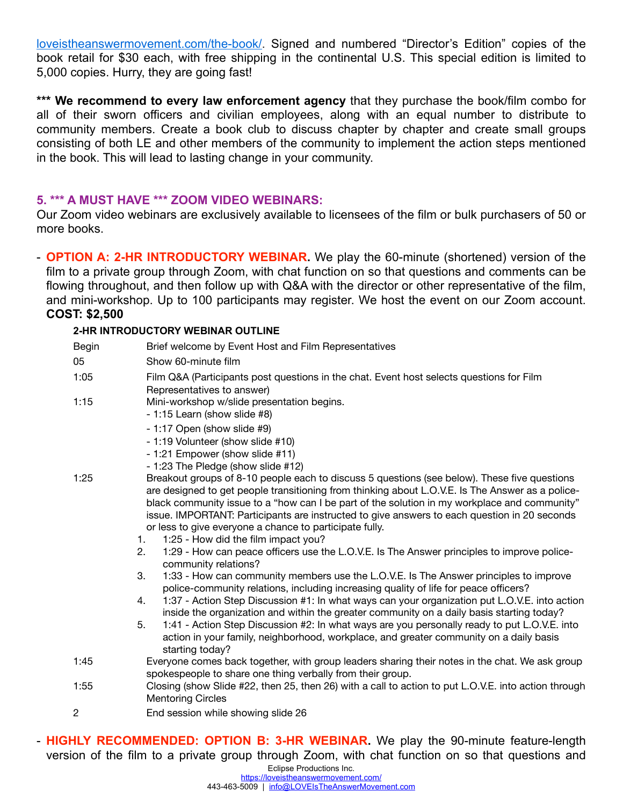[loveistheanswermovement.com/the-book/](http://loveistheanswermovement.com/the-book/). Signed and numbered "Director's Edition" copies of the book retail for \$30 each, with free shipping in the continental U.S. This special edition is limited to 5,000 copies. Hurry, they are going fast!

**\*\*\* We recommend to every law enforcement agency** that they purchase the book/film combo for all of their sworn officers and civilian employees, along with an equal number to distribute to community members. Create a book club to discuss chapter by chapter and create small groups consisting of both LE and other members of the community to implement the action steps mentioned in the book. This will lead to lasting change in your community.

#### **5. \*\*\* A MUST HAVE \*\*\* ZOOM VIDEO WEBINARS:**

Our Zoom video webinars are exclusively available to licensees of the film or bulk purchasers of 50 or more books.

- **OPTION A: 2-HR INTRODUCTORY WEBINAR.** We play the 60-minute (shortened) version of the film to a private group through Zoom, with chat function on so that questions and comments can be flowing throughout, and then follow up with Q&A with the director or other representative of the film, and mini-workshop. Up to 100 participants may register. We host the event on our Zoom account. **COST: \$2,500**

#### **2-HR INTRODUCTORY WEBINAR OUTLINE**

| Begin | Brief welcome by Event Host and Film Representatives                                                                                                                                                                                                                                                                                                                                                                                                        |
|-------|-------------------------------------------------------------------------------------------------------------------------------------------------------------------------------------------------------------------------------------------------------------------------------------------------------------------------------------------------------------------------------------------------------------------------------------------------------------|
| 05    | Show 60-minute film                                                                                                                                                                                                                                                                                                                                                                                                                                         |
| 1:05  | Film Q&A (Participants post questions in the chat. Event host selects questions for Film<br>Representatives to answer)                                                                                                                                                                                                                                                                                                                                      |
| 1:15  | Mini-workshop w/slide presentation begins.<br>- 1:15 Learn (show slide #8)                                                                                                                                                                                                                                                                                                                                                                                  |
|       | - 1:17 Open (show slide #9)                                                                                                                                                                                                                                                                                                                                                                                                                                 |
|       | - 1:19 Volunteer (show slide #10)                                                                                                                                                                                                                                                                                                                                                                                                                           |
|       | - 1:21 Empower (show slide #11)                                                                                                                                                                                                                                                                                                                                                                                                                             |
|       | - 1:23 The Pledge (show slide #12)                                                                                                                                                                                                                                                                                                                                                                                                                          |
| 1:25  | Breakout groups of 8-10 people each to discuss 5 questions (see below). These five questions<br>are designed to get people transitioning from thinking about L.O.V.E. Is The Answer as a police-<br>black community issue to a "how can I be part of the solution in my workplace and community"<br>issue. IMPORTANT: Participants are instructed to give answers to each question in 20 seconds<br>or less to give everyone a chance to participate fully. |
|       | 1:25 - How did the film impact you?<br>1.<br>1:29 - How can peace officers use the L.O.V.E. Is The Answer principles to improve police-<br>2.                                                                                                                                                                                                                                                                                                               |
|       | community relations?                                                                                                                                                                                                                                                                                                                                                                                                                                        |
|       | 3.<br>1:33 - How can community members use the L.O.V.E. Is The Answer principles to improve<br>police-community relations, including increasing quality of life for peace officers?                                                                                                                                                                                                                                                                         |
|       | 1:37 - Action Step Discussion #1: In what ways can your organization put L.O.V.E. into action<br>4.<br>inside the organization and within the greater community on a daily basis starting today?                                                                                                                                                                                                                                                            |
|       | 5.<br>1:41 - Action Step Discussion #2: In what ways are you personally ready to put L.O.V.E. into<br>action in your family, neighborhood, workplace, and greater community on a daily basis<br>starting today?                                                                                                                                                                                                                                             |
| 1:45  | Everyone comes back together, with group leaders sharing their notes in the chat. We ask group<br>spokespeople to share one thing verbally from their group.                                                                                                                                                                                                                                                                                                |
| 1:55  | Closing (show Slide #22, then 25, then 26) with a call to action to put L.O.V.E. into action through<br><b>Mentoring Circles</b>                                                                                                                                                                                                                                                                                                                            |
| 2     | End session while showing slide 26                                                                                                                                                                                                                                                                                                                                                                                                                          |

- **HIGHLY RECOMMENDED: OPTION B: 3-HR WEBINAR.** We play the 90-minute feature-length version of the film to a private group through Zoom, with chat function on so that questions and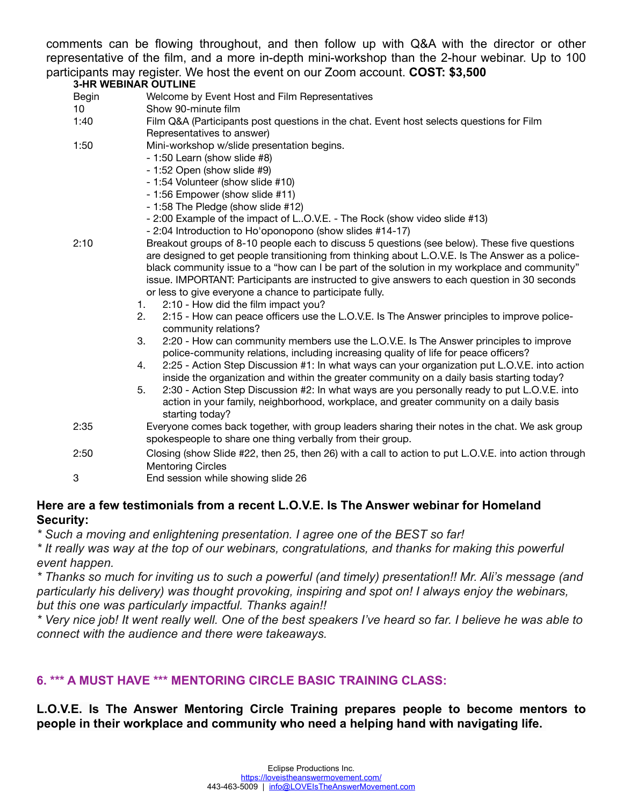comments can be flowing throughout, and then follow up with Q&A with the director or other representative of the film, and a more in-depth mini-workshop than the 2-hour webinar. Up to 100 participants may register. We host the event on our Zoom account. **COST: \$3,500**

#### **3-HR WEBINAR OUTLINE**

- Begin Welcome by Event Host and Film Representatives
- 10 Show 90-minute film
- 1:40 Film Q&A (Participants post questions in the chat. Event host selects questions for Film Representatives to answer)
- 1:50 Mini-workshop w/slide presentation begins.
	- 1:50 Learn (show slide #8)
	- 1:52 Open (show slide #9)
	- 1:54 Volunteer (show slide #10)
	- 1:56 Empower (show slide #11)
	- 1:58 The Pledge (show slide #12)
	- 2:00 Example of the impact of L..O.V.E. The Rock (show video slide #13)
	- 2:04 Introduction to Ho'oponopono (show slides #14-17)
- 2:10 Breakout groups of 8-10 people each to discuss 5 questions (see below). These five questions are designed to get people transitioning from thinking about L.O.V.E. Is The Answer as a police- black community issue to a "how can I be part of the solution in my workplace and community" issue. IMPORTANT: Participants are instructed to give answers to each question in 30 seconds or less to give everyone a chance to participate fully.
	- 1. 2:10 How did the film impact you?
	- 2. 2:15 How can peace officers use the L.O.V.E. Is The Answer principles to improve policecommunity relations?
	- 3. 2:20 How can community members use the L.O.V.E. Is The Answer principles to improve police-community relations, including increasing quality of life for peace officers?
	- 4. 2:25 Action Step Discussion #1: In what ways can your organization put L.O.V.E. into action inside the organization and within the greater community on a daily basis starting today?
	- 5. 2:30 Action Step Discussion #2: In what ways are you personally ready to put L.O.V.E. into action in your family, neighborhood, workplace, and greater community on a daily basis starting today?
- 2:35 Everyone comes back together, with group leaders sharing their notes in the chat. We ask group spokespeople to share one thing verbally from their group.
- 2:50 Closing (show Slide #22, then 25, then 26) with a call to action to put L.O.V.E. into action through Mentoring Circles
- 3 End session while showing slide 26

#### **Here are a few testimonials from a recent L.O.V.E. Is The Answer webinar for Homeland Security:**

*\* Such a moving and enlightening presentation. I agree one of the BEST so far!*

*\* It really was way at the top of our webinars, congratulations, and thanks for making this powerful event happen.*

*\* Thanks so much for inviting us to such a powerful (and timely) presentation!! Mr. Ali's message (and particularly his delivery) was thought provoking, inspiring and spot on! I always enjoy the webinars, but this one was particularly impactful. Thanks again!!*

*\* Very nice job! It went really well. One of the best speakers I've heard so far. I believe he was able to connect with the audience and there were takeaways.*

# **6. \*\*\* A MUST HAVE \*\*\* MENTORING CIRCLE BASIC TRAINING CLASS:**

#### **L.O.V.E. Is The Answer Mentoring Circle Training prepares people to become mentors to people in their workplace and community who need a helping hand with navigating life.**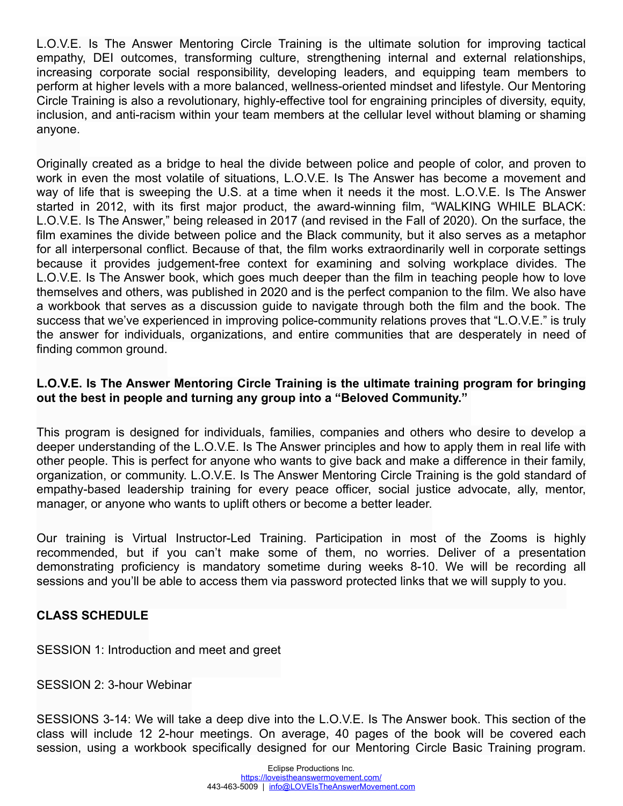L.O.V.E. Is The Answer Mentoring Circle Training is the ultimate solution for improving tactical empathy, DEI outcomes, transforming culture, strengthening internal and external relationships, increasing corporate social responsibility, developing leaders, and equipping team members to perform at higher levels with a more balanced, wellness-oriented mindset and lifestyle. Our Mentoring Circle Training is also a revolutionary, highly-effective tool for engraining principles of diversity, equity, inclusion, and anti-racism within your team members at the cellular level without blaming or shaming anyone.

Originally created as a bridge to heal the divide between police and people of color, and proven to work in even the most volatile of situations, L.O.V.E. Is The Answer has become a movement and way of life that is sweeping the U.S. at a time when it needs it the most. L.O.V.E. Is The Answer started in 2012, with its first major product, the award-winning film, "WALKING WHILE BLACK: L.O.V.E. Is The Answer," being released in 2017 (and revised in the Fall of 2020). On the surface, the film examines the divide between police and the Black community, but it also serves as a metaphor for all interpersonal conflict. Because of that, the film works extraordinarily well in corporate settings because it provides judgement-free context for examining and solving workplace divides. The L.O.V.E. Is The Answer book, which goes much deeper than the film in teaching people how to love themselves and others, was published in 2020 and is the perfect companion to the film. We also have a workbook that serves as a discussion guide to navigate through both the film and the book. The success that we've experienced in improving police-community relations proves that "L.O.V.E." is truly the answer for individuals, organizations, and entire communities that are desperately in need of finding common ground.

# **L.O.V.E. Is The Answer Mentoring Circle Training is the ultimate training program for bringing out the best in people and turning any group into a "Beloved Community."**

This program is designed for individuals, families, companies and others who desire to develop a deeper understanding of the L.O.V.E. Is The Answer principles and how to apply them in real life with other people. This is perfect for anyone who wants to give back and make a difference in their family, organization, or community. L.O.V.E. Is The Answer Mentoring Circle Training is the gold standard of empathy-based leadership training for every peace officer, social justice advocate, ally, mentor, manager, or anyone who wants to uplift others or become a better leader.

Our training is Virtual Instructor-Led Training. Participation in most of the Zooms is highly recommended, but if you can't make some of them, no worries. Deliver of a presentation demonstrating proficiency is mandatory sometime during weeks 8-10. We will be recording all sessions and you'll be able to access them via password protected links that we will supply to you.

# **CLASS SCHEDULE**

SESSION 1: Introduction and meet and greet

SESSION 2: 3-hour Webinar

SESSIONS 3-14: We will take a deep dive into the L.O.V.E. Is The Answer book. This section of the class will include 12 2-hour meetings. On average, 40 pages of the book will be covered each session, using a workbook specifically designed for our Mentoring Circle Basic Training program.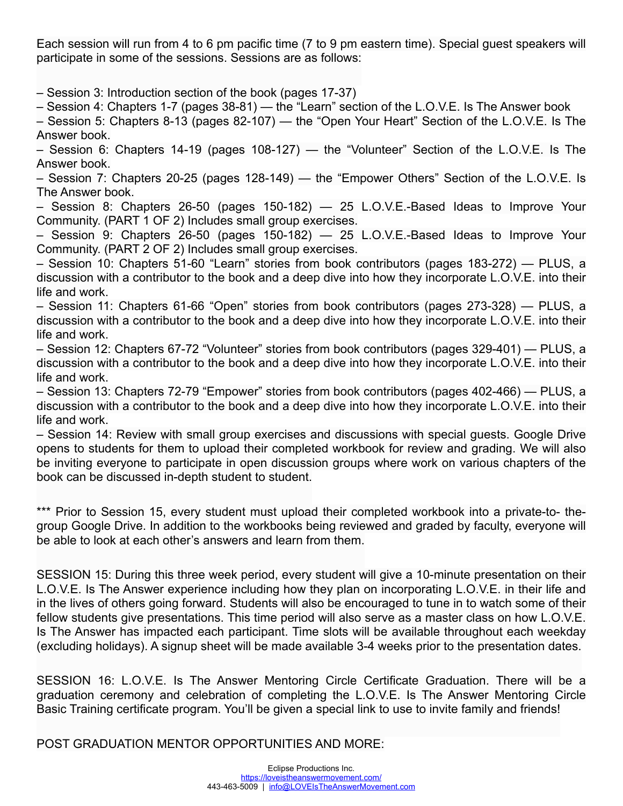Each session will run from 4 to 6 pm pacific time (7 to 9 pm eastern time). Special guest speakers will participate in some of the sessions. Sessions are as follows:

– Session 3: Introduction section of the book (pages 17-37)

– Session 4: Chapters 1-7 (pages 38-81) — the "Learn" section of the L.O.V.E. Is The Answer book

– Session 5: Chapters 8-13 (pages 82-107) — the "Open Your Heart" Section of the L.O.V.E. Is The Answer book.

– Session 6: Chapters 14-19 (pages 108-127) — the "Volunteer" Section of the L.O.V.E. Is The Answer book.

– Session 7: Chapters 20-25 (pages 128-149) — the "Empower Others" Section of the L.O.V.E. Is The Answer book.

– Session 8: Chapters 26-50 (pages 150-182) — 25 L.O.V.E.-Based Ideas to Improve Your Community. (PART 1 OF 2) Includes small group exercises.

– Session 9: Chapters 26-50 (pages 150-182) — 25 L.O.V.E.-Based Ideas to Improve Your Community. (PART 2 OF 2) Includes small group exercises.

– Session 10: Chapters 51-60 "Learn" stories from book contributors (pages 183-272) — PLUS, a discussion with a contributor to the book and a deep dive into how they incorporate L.O.V.E. into their life and work.

– Session 11: Chapters 61-66 "Open" stories from book contributors (pages 273-328) — PLUS, a discussion with a contributor to the book and a deep dive into how they incorporate L.O.V.E. into their life and work.

– Session 12: Chapters 67-72 "Volunteer" stories from book contributors (pages 329-401) — PLUS, a discussion with a contributor to the book and a deep dive into how they incorporate L.O.V.E. into their life and work.

– Session 13: Chapters 72-79 "Empower" stories from book contributors (pages 402-466) — PLUS, a discussion with a contributor to the book and a deep dive into how they incorporate L.O.V.E. into their life and work.

– Session 14: Review with small group exercises and discussions with special guests. Google Drive opens to students for them to upload their completed workbook for review and grading. We will also be inviting everyone to participate in open discussion groups where work on various chapters of the book can be discussed in-depth student to student.

\*\*\* Prior to Session 15, every student must upload their completed workbook into a private-to- thegroup Google Drive. In addition to the workbooks being reviewed and graded by faculty, everyone will be able to look at each other's answers and learn from them.

SESSION 15: During this three week period, every student will give a 10-minute presentation on their L.O.V.E. Is The Answer experience including how they plan on incorporating L.O.V.E. in their life and in the lives of others going forward. Students will also be encouraged to tune in to watch some of their fellow students give presentations. This time period will also serve as a master class on how L.O.V.E. Is The Answer has impacted each participant. Time slots will be available throughout each weekday (excluding holidays). A signup sheet will be made available 3-4 weeks prior to the presentation dates.

SESSION 16: L.O.V.E. Is The Answer Mentoring Circle Certificate Graduation. There will be a graduation ceremony and celebration of completing the L.O.V.E. Is The Answer Mentoring Circle Basic Training certificate program. You'll be given a special link to use to invite family and friends!

POST GRADUATION MENTOR OPPORTUNITIES AND MORE: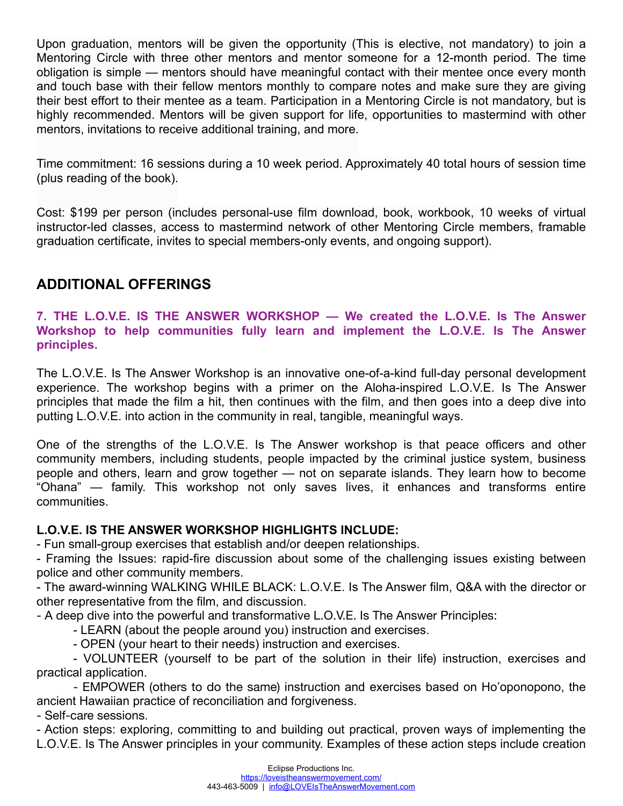Upon graduation, mentors will be given the opportunity (This is elective, not mandatory) to join a Mentoring Circle with three other mentors and mentor someone for a 12-month period. The time obligation is simple — mentors should have meaningful contact with their mentee once every month and touch base with their fellow mentors monthly to compare notes and make sure they are giving their best effort to their mentee as a team. Participation in a Mentoring Circle is not mandatory, but is highly recommended. Mentors will be given support for life, opportunities to mastermind with other mentors, invitations to receive additional training, and more.

Time commitment: 16 sessions during a 10 week period. Approximately 40 total hours of session time (plus reading of the book).

Cost: \$199 per person (includes personal-use film download, book, workbook, 10 weeks of virtual instructor-led classes, access to mastermind network of other Mentoring Circle members, framable graduation certificate, invites to special members-only events, and ongoing support).

# **ADDITIONAL OFFERINGS**

**7. THE L.O.V.E. IS THE ANSWER WORKSHOP — We created the L.O.V.E. Is The Answer Workshop to help communities fully learn and implement the L.O.V.E. Is The Answer principles.** 

The L.O.V.E. Is The Answer Workshop is an innovative one-of-a-kind full-day personal development experience. The workshop begins with a primer on the Aloha-inspired L.O.V.E. Is The Answer principles that made the film a hit, then continues with the film, and then goes into a deep dive into putting L.O.V.E. into action in the community in real, tangible, meaningful ways.

One of the strengths of the L.O.V.E. Is The Answer workshop is that peace officers and other community members, including students, people impacted by the criminal justice system, business people and others, learn and grow together — not on separate islands. They learn how to become "Ohana" — family. This workshop not only saves lives, it enhances and transforms entire communities.

# **L.O.V.E. IS THE ANSWER WORKSHOP HIGHLIGHTS INCLUDE:**

- Fun small-group exercises that establish and/or deepen relationships.

- Framing the Issues: rapid-fire discussion about some of the challenging issues existing between police and other community members.

- The award-winning WALKING WHILE BLACK: L.O.V.E. Is The Answer film, Q&A with the director or other representative from the film, and discussion.

- A deep dive into the powerful and transformative L.O.V.E. Is The Answer Principles:

- LEARN (about the people around you) instruction and exercises.

- OPEN (your heart to their needs) instruction and exercises.

- VOLUNTEER (yourself to be part of the solution in their life) instruction, exercises and practical application.

- EMPOWER (others to do the same) instruction and exercises based on Ho'oponopono, the ancient Hawaiian practice of reconciliation and forgiveness.

- Self-care sessions.

- Action steps: exploring, committing to and building out practical, proven ways of implementing the L.O.V.E. Is The Answer principles in your community. Examples of these action steps include creation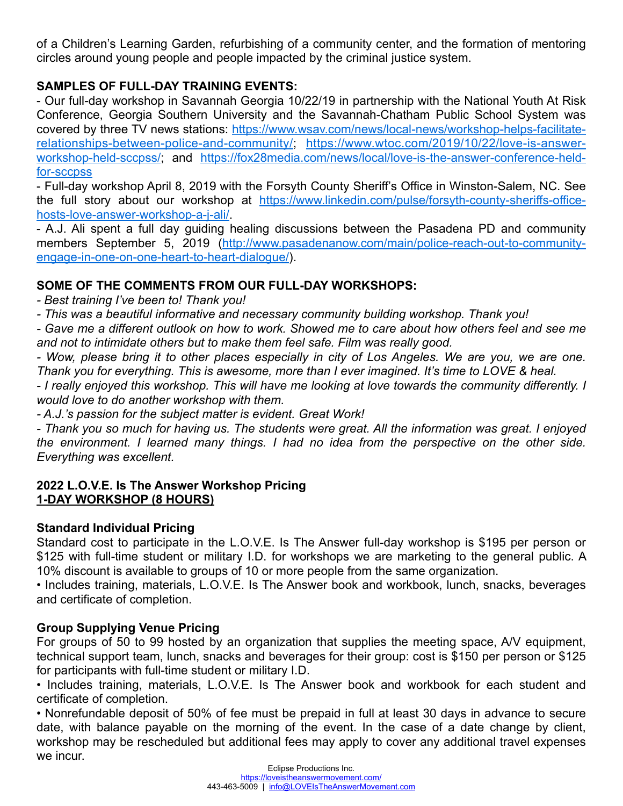of a Children's Learning Garden, refurbishing of a community center, and the formation of mentoring circles around young people and people impacted by the criminal justice system.

# **SAMPLES OF FULL-DAY TRAINING EVENTS:**

- Our full-day workshop in Savannah Georgia 10/22/19 in partnership with the National Youth At Risk Conference, Georgia Southern University and the Savannah-Chatham Public School System was [covered by three TV news stations: https://www.wsav.com/news/local-news/workshop-helps-facilitate](https://www.wsav.com/news/local-news/workshop-helps-facilitate-relationships-between-police-and-community/)[relationships-between-police-and-community/](https://www.wsav.com/news/local-news/workshop-helps-facilitate-relationships-between-police-and-community/); [https://www.wtoc.com/2019/10/22/love-is-answer](https://www.wtoc.com/2019/10/22/love-is-answer-workshop-held-sccpss/)[workshop-held-sccpss/](https://www.wtoc.com/2019/10/22/love-is-answer-workshop-held-sccpss/); and [https://fox28media.com/news/local/love-is-the-answer-conference-held](https://fox28media.com/news/local/love-is-the-answer-conference-held-for-sccpss)[for-sccpss](https://fox28media.com/news/local/love-is-the-answer-conference-held-for-sccpss)

- Full-day workshop April 8, 2019 with the Forsyth County Sheriff's Office in Winston-Salem, NC. See the full story about our workshop at [https://www.linkedin.com/pulse/forsyth-county-sheriffs-office](https://www.linkedin.com/pulse/forsyth-county-sheriffs-office-hosts-love-answer-workshop-a-j-ali/)[hosts-love-answer-workshop-a-j-ali/](https://www.linkedin.com/pulse/forsyth-county-sheriffs-office-hosts-love-answer-workshop-a-j-ali/).

- A.J. Ali spent a full day guiding healing discussions between the Pasadena PD and community [members September 5, 2019 \(http://www.pasadenanow.com/main/police-reach-out-to-community](http://www.pasadenanow.com/main/police-reach-out-to-community-engage-in-one-on-one-heart-to-heart-dialogue/)[engage-in-one-on-one-heart-to-heart-dialogue/](http://www.pasadenanow.com/main/police-reach-out-to-community-engage-in-one-on-one-heart-to-heart-dialogue/)).

# **SOME OF THE COMMENTS FROM OUR FULL-DAY WORKSHOPS:**

*- Best training I've been to! Thank you!* 

*- This was a beautiful informative and necessary community building workshop. Thank you!*

*- Gave me a different outlook on how to work. Showed me to care about how others feel and see me and not to intimidate others but to make them feel safe. Film was really good.*

*- Wow, please bring it to other places especially in city of Los Angeles. We are you, we are one. Thank you for everything. This is awesome, more than I ever imagined. It's time to LOVE & heal.*

*- I really enjoyed this workshop. This will have me looking at love towards the community differently. I would love to do another workshop with them.*

*- A.J.'s passion for the subject matter is evident. Great Work!*

*- Thank you so much for having us. The students were great. All the information was great. I enjoyed the environment. I learned many things. I had no idea from the perspective on the other side. Everything was excellent.*

# **2022 L.O.V.E. Is The Answer Workshop Pricing 1-DAY WORKSHOP (8 HOURS)**

# **Standard Individual Pricing**

Standard cost to participate in the L.O.V.E. Is The Answer full-day workshop is \$195 per person or \$125 with full-time student or military I.D. for workshops we are marketing to the general public. A 10% discount is available to groups of 10 or more people from the same organization.

• Includes training, materials, L.O.V.E. Is The Answer book and workbook, lunch, snacks, beverages and certificate of completion.

# **Group Supplying Venue Pricing**

For groups of 50 to 99 hosted by an organization that supplies the meeting space, A/V equipment, technical support team, lunch, snacks and beverages for their group: cost is \$150 per person or \$125 for participants with full-time student or military I.D.

• Includes training, materials, L.O.V.E. Is The Answer book and workbook for each student and certificate of completion.

• Nonrefundable deposit of 50% of fee must be prepaid in full at least 30 days in advance to secure date, with balance payable on the morning of the event. In the case of a date change by client, workshop may be rescheduled but additional fees may apply to cover any additional travel expenses we incur.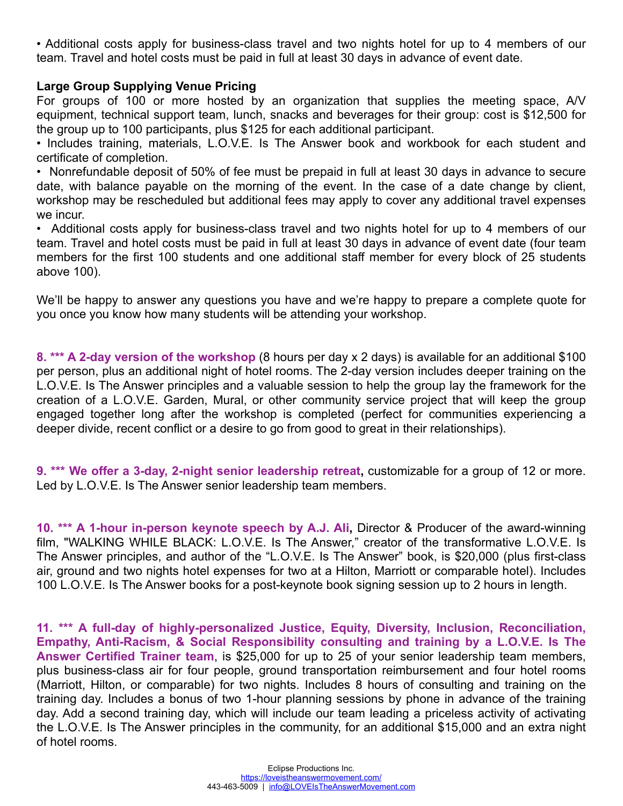• Additional costs apply for business-class travel and two nights hotel for up to 4 members of our team. Travel and hotel costs must be paid in full at least 30 days in advance of event date.

#### **Large Group Supplying Venue Pricing**

For groups of 100 or more hosted by an organization that supplies the meeting space, A/V equipment, technical support team, lunch, snacks and beverages for their group: cost is \$12,500 for the group up to 100 participants, plus \$125 for each additional participant.

• Includes training, materials, L.O.V.E. Is The Answer book and workbook for each student and certificate of completion.

• Nonrefundable deposit of 50% of fee must be prepaid in full at least 30 days in advance to secure date, with balance payable on the morning of the event. In the case of a date change by client, workshop may be rescheduled but additional fees may apply to cover any additional travel expenses we incur.

• Additional costs apply for business-class travel and two nights hotel for up to 4 members of our team. Travel and hotel costs must be paid in full at least 30 days in advance of event date (four team members for the first 100 students and one additional staff member for every block of 25 students above 100).

We'll be happy to answer any questions you have and we're happy to prepare a complete quote for you once you know how many students will be attending your workshop.

**8. \*\*\* A 2-day version of the workshop** (8 hours per day x 2 days) is available for an additional \$100 per person, plus an additional night of hotel rooms. The 2-day version includes deeper training on the L.O.V.E. Is The Answer principles and a valuable session to help the group lay the framework for the creation of a L.O.V.E. Garden, Mural, or other community service project that will keep the group engaged together long after the workshop is completed (perfect for communities experiencing a deeper divide, recent conflict or a desire to go from good to great in their relationships).

**9. \*\*\* We offer a 3-day, 2-night senior leadership retreat,** customizable for a group of 12 or more. Led by L.O.V.E. Is The Answer senior leadership team members.

**10. \*\*\* A 1-hour in-person keynote speech by A.J. Ali,** Director & Producer of the award-winning film, "WALKING WHILE BLACK: L.O.V.E. Is The Answer," creator of the transformative L.O.V.E. Is The Answer principles, and author of the "L.O.V.E. Is The Answer" book, is \$20,000 (plus first-class air, ground and two nights hotel expenses for two at a Hilton, Marriott or comparable hotel). Includes 100 L.O.V.E. Is The Answer books for a post-keynote book signing session up to 2 hours in length.

**11. \*\*\* A full-day of highly-personalized Justice, Equity, Diversity, Inclusion, Reconciliation, Empathy, Anti-Racism, & Social Responsibility consulting and training by a L.O.V.E. Is The Answer Certified Trainer team**, is \$25,000 for up to 25 of your senior leadership team members, plus business-class air for four people, ground transportation reimbursement and four hotel rooms (Marriott, Hilton, or comparable) for two nights. Includes 8 hours of consulting and training on the training day. Includes a bonus of two 1-hour planning sessions by phone in advance of the training day. Add a second training day, which will include our team leading a priceless activity of activating the L.O.V.E. Is The Answer principles in the community, for an additional \$15,000 and an extra night of hotel rooms.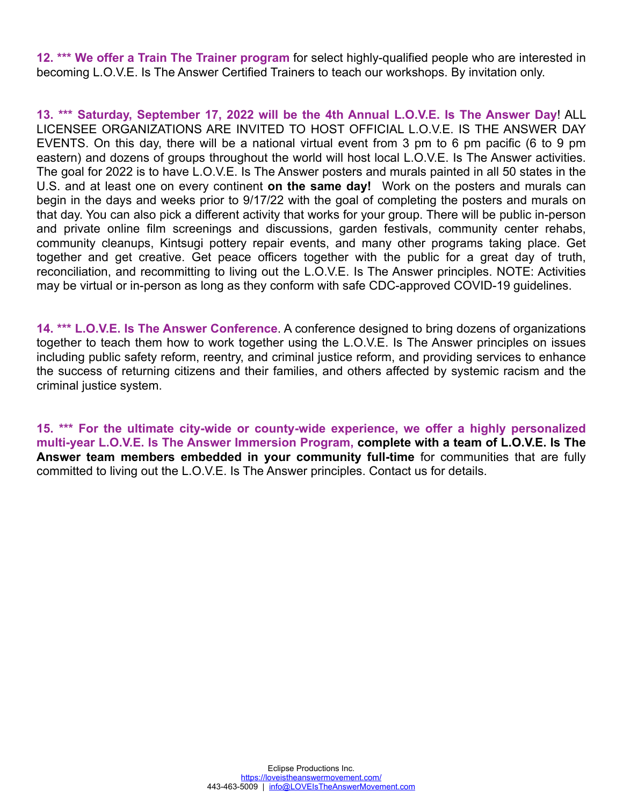**12. \*\*\* We offer a Train The Trainer program** for select highly-qualified people who are interested in becoming L.O.V.E. Is The Answer Certified Trainers to teach our workshops. By invitation only.

**13. \*\*\* Saturday, September 17, 2022 will be the 4th Annual L.O.V.E. Is The Answer Day**! ALL LICENSEE ORGANIZATIONS ARE INVITED TO HOST OFFICIAL L.O.V.E. IS THE ANSWER DAY EVENTS. On this day, there will be a national virtual event from 3 pm to 6 pm pacific (6 to 9 pm eastern) and dozens of groups throughout the world will host local L.O.V.E. Is The Answer activities. The goal for 2022 is to have L.O.V.E. Is The Answer posters and murals painted in all 50 states in the U.S. and at least one on every continent **on the same day!** Work on the posters and murals can begin in the days and weeks prior to 9/17/22 with the goal of completing the posters and murals on that day. You can also pick a different activity that works for your group. There will be public in-person and private online film screenings and discussions, garden festivals, community center rehabs, community cleanups, Kintsugi pottery repair events, and many other programs taking place. Get together and get creative. Get peace officers together with the public for a great day of truth, reconciliation, and recommitting to living out the L.O.V.E. Is The Answer principles. NOTE: Activities may be virtual or in-person as long as they conform with safe CDC-approved COVID-19 guidelines.

**14. \*\*\* L.O.V.E. Is The Answer Conference**. A conference designed to bring dozens of organizations together to teach them how to work together using the L.O.V.E. Is The Answer principles on issues including public safety reform, reentry, and criminal justice reform, and providing services to enhance the success of returning citizens and their families, and others affected by systemic racism and the criminal justice system.

**15. \*\*\* For the ultimate city-wide or county-wide experience, we offer a highly personalized multi-year L.O.V.E. Is The Answer Immersion Program, complete with a team of L.O.V.E. Is The Answer team members embedded in your community full-time** for communities that are fully committed to living out the L.O.V.E. Is The Answer principles. Contact us for details.